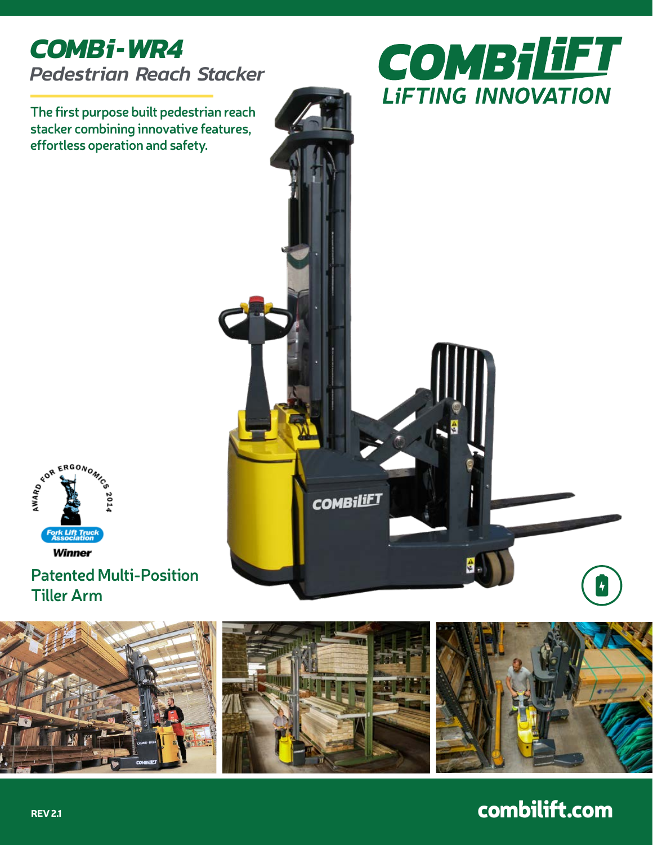

**The first purpose built pedestrian reach stacker combining innovative features, effortless operation and safety.**





### **Patented Multi-Position Tiller Arm**





# combilift.com